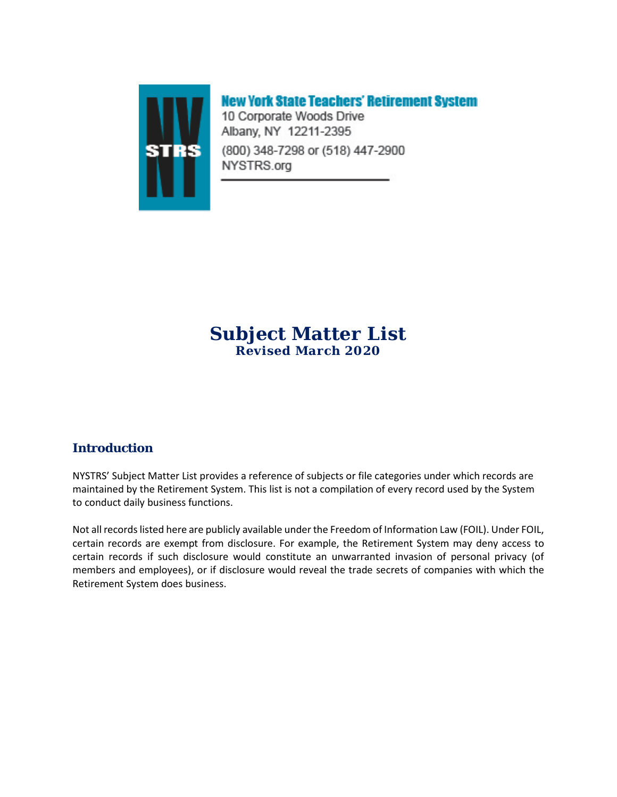

# **New York State Teachers' Retirement System**

10 Corporate Woods Drive Albany, NY 12211-2395 (800) 348-7298 or (518) 447-2900 NYSTRS.org

### **Subject Matter List Revised March 2020**

### **Introduction**

NYSTRS' Subject Matter List provides a reference of subjects or file categories under which records are maintained by the Retirement System. This list is not a compilation of every record used by the System to conduct daily business functions.

Not all records listed here are publicly available under the Freedom of Information Law (FOIL). Under FOIL, certain records are exempt from disclosure. For example, the Retirement System may deny access to certain records if such disclosure would constitute an unwarranted invasion of personal privacy (of members and employees), or if disclosure would reveal the trade secrets of companies with which the Retirement System does business.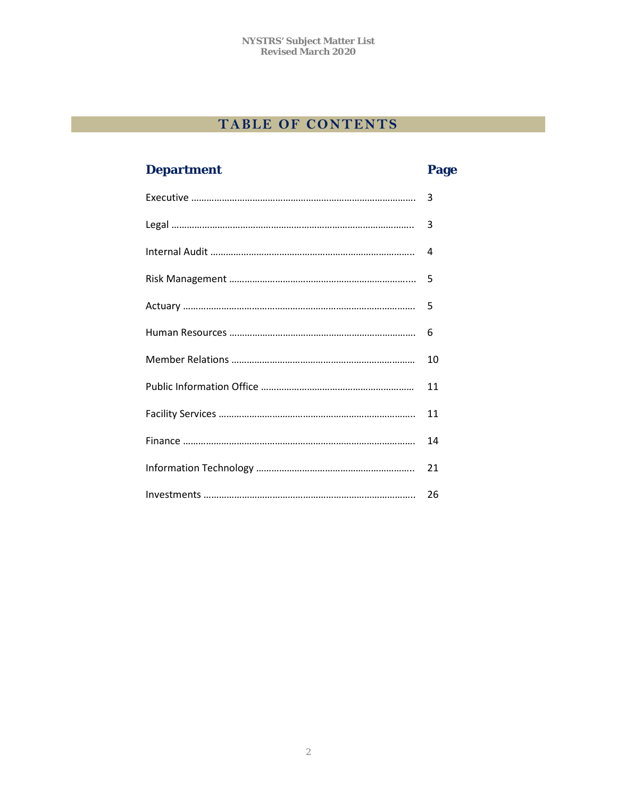# **TABLE OF CONTENTS**

# **Department Page**

| 3  |
|----|
| 3  |
|    |
|    |
| 5  |
| 6  |
| 10 |
| 11 |
| 11 |
| 14 |
| 21 |
|    |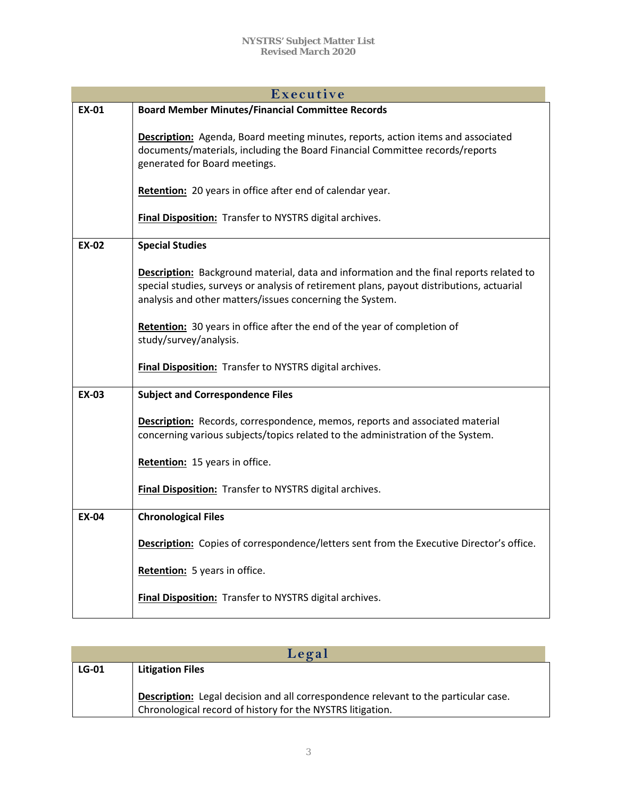| Executive    |                                                                                                                                                                                                                                                         |
|--------------|---------------------------------------------------------------------------------------------------------------------------------------------------------------------------------------------------------------------------------------------------------|
| <b>EX-01</b> | <b>Board Member Minutes/Financial Committee Records</b>                                                                                                                                                                                                 |
|              | <b>Description:</b> Agenda, Board meeting minutes, reports, action items and associated<br>documents/materials, including the Board Financial Committee records/reports<br>generated for Board meetings.                                                |
|              | Retention: 20 years in office after end of calendar year.                                                                                                                                                                                               |
|              | Final Disposition: Transfer to NYSTRS digital archives.                                                                                                                                                                                                 |
| <b>EX-02</b> | <b>Special Studies</b>                                                                                                                                                                                                                                  |
|              | <b>Description:</b> Background material, data and information and the final reports related to<br>special studies, surveys or analysis of retirement plans, payout distributions, actuarial<br>analysis and other matters/issues concerning the System. |
|              | <b>Retention:</b> 30 years in office after the end of the year of completion of<br>study/survey/analysis.                                                                                                                                               |
|              | <b>Final Disposition:</b> Transfer to NYSTRS digital archives.                                                                                                                                                                                          |
| <b>EX-03</b> | <b>Subject and Correspondence Files</b>                                                                                                                                                                                                                 |
|              | Description: Records, correspondence, memos, reports and associated material<br>concerning various subjects/topics related to the administration of the System.                                                                                         |
|              | Retention: 15 years in office.                                                                                                                                                                                                                          |
|              | Final Disposition: Transfer to NYSTRS digital archives.                                                                                                                                                                                                 |
| <b>EX-04</b> | <b>Chronological Files</b>                                                                                                                                                                                                                              |
|              | Description: Copies of correspondence/letters sent from the Executive Director's office.                                                                                                                                                                |
|              | Retention: 5 years in office.                                                                                                                                                                                                                           |
|              | Final Disposition: Transfer to NYSTRS digital archives.                                                                                                                                                                                                 |

| Legal   |                                                                                     |
|---------|-------------------------------------------------------------------------------------|
| $LG-01$ | <b>Litigation Files</b>                                                             |
|         |                                                                                     |
|         | Description: Legal decision and all correspondence relevant to the particular case. |
|         | Chronological record of history for the NYSTRS litigation.                          |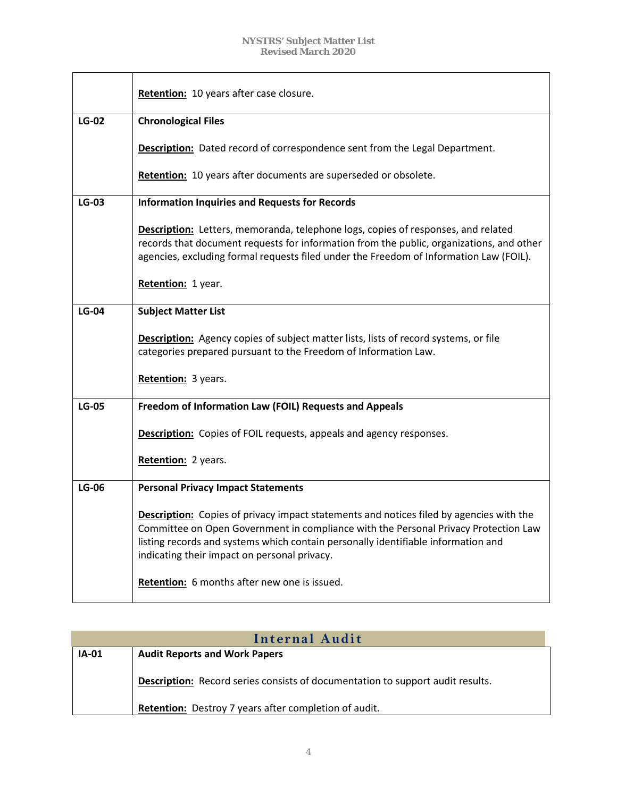|              | Retention: 10 years after case closure.                                                                                                                                                                                                                                                                                    |
|--------------|----------------------------------------------------------------------------------------------------------------------------------------------------------------------------------------------------------------------------------------------------------------------------------------------------------------------------|
| $LG-02$      | <b>Chronological Files</b>                                                                                                                                                                                                                                                                                                 |
|              | <b>Description:</b> Dated record of correspondence sent from the Legal Department.                                                                                                                                                                                                                                         |
|              | Retention: 10 years after documents are superseded or obsolete.                                                                                                                                                                                                                                                            |
| <b>LG-03</b> | <b>Information Inquiries and Requests for Records</b>                                                                                                                                                                                                                                                                      |
|              | Description: Letters, memoranda, telephone logs, copies of responses, and related<br>records that document requests for information from the public, organizations, and other<br>agencies, excluding formal requests filed under the Freedom of Information Law (FOIL).                                                    |
|              | Retention: 1 year.                                                                                                                                                                                                                                                                                                         |
| <b>LG-04</b> | <b>Subject Matter List</b>                                                                                                                                                                                                                                                                                                 |
|              | <b>Description:</b> Agency copies of subject matter lists, lists of record systems, or file<br>categories prepared pursuant to the Freedom of Information Law.                                                                                                                                                             |
|              | Retention: 3 years.                                                                                                                                                                                                                                                                                                        |
| <b>LG-05</b> | Freedom of Information Law (FOIL) Requests and Appeals                                                                                                                                                                                                                                                                     |
|              | <b>Description:</b> Copies of FOIL requests, appeals and agency responses.                                                                                                                                                                                                                                                 |
|              | Retention: 2 years.                                                                                                                                                                                                                                                                                                        |
| <b>LG-06</b> | <b>Personal Privacy Impact Statements</b>                                                                                                                                                                                                                                                                                  |
|              | <b>Description:</b> Copies of privacy impact statements and notices filed by agencies with the<br>Committee on Open Government in compliance with the Personal Privacy Protection Law<br>listing records and systems which contain personally identifiable information and<br>indicating their impact on personal privacy. |
|              | Retention: 6 months after new one is issued.                                                                                                                                                                                                                                                                               |

| Internal Audit |                                                                                       |
|----------------|---------------------------------------------------------------------------------------|
| <b>IA-01</b>   | <b>Audit Reports and Work Papers</b>                                                  |
|                | <b>Description:</b> Record series consists of documentation to support audit results. |
|                | Retention: Destroy 7 years after completion of audit.                                 |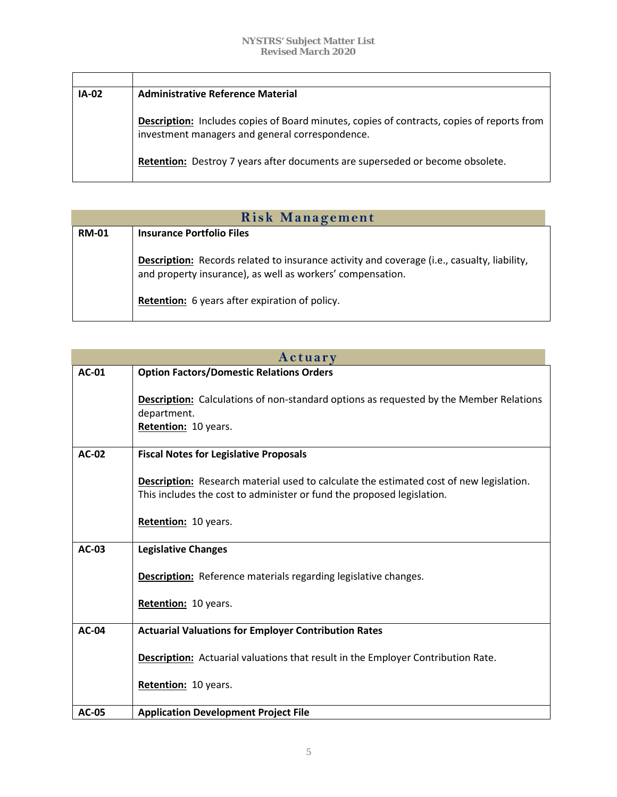| <b>IA-02</b> | <b>Administrative Reference Material</b>                                                                                                      |
|--------------|-----------------------------------------------------------------------------------------------------------------------------------------------|
|              | Description: Includes copies of Board minutes, copies of contracts, copies of reports from<br>investment managers and general correspondence. |
|              | Retention: Destroy 7 years after documents are superseded or become obsolete.                                                                 |

| <b>Risk Management</b> |                                                                                                                                                                  |
|------------------------|------------------------------------------------------------------------------------------------------------------------------------------------------------------|
| <b>RM-01</b>           | <b>Insurance Portfolio Files</b>                                                                                                                                 |
|                        | <b>Description:</b> Records related to insurance activity and coverage (i.e., casualty, liability,<br>and property insurance), as well as workers' compensation. |
|                        | Retention: 6 years after expiration of policy.                                                                                                                   |

| Actuary      |                                                                                                                                                                   |
|--------------|-------------------------------------------------------------------------------------------------------------------------------------------------------------------|
| <b>AC-01</b> | <b>Option Factors/Domestic Relations Orders</b>                                                                                                                   |
|              | <b>Description:</b> Calculations of non-standard options as requested by the Member Relations<br>department.<br>Retention: 10 years.                              |
| AC-02        | <b>Fiscal Notes for Legislative Proposals</b>                                                                                                                     |
|              | Description: Research material used to calculate the estimated cost of new legislation.<br>This includes the cost to administer or fund the proposed legislation. |
|              | Retention: 10 years.                                                                                                                                              |
| AC-03        | <b>Legislative Changes</b>                                                                                                                                        |
|              | <b>Description:</b> Reference materials regarding legislative changes.<br>Retention: 10 years.                                                                    |
|              |                                                                                                                                                                   |
| <b>AC-04</b> | <b>Actuarial Valuations for Employer Contribution Rates</b>                                                                                                       |
|              | Description: Actuarial valuations that result in the Employer Contribution Rate.                                                                                  |
|              | Retention: 10 years.                                                                                                                                              |
| <b>AC-05</b> | <b>Application Development Project File</b>                                                                                                                       |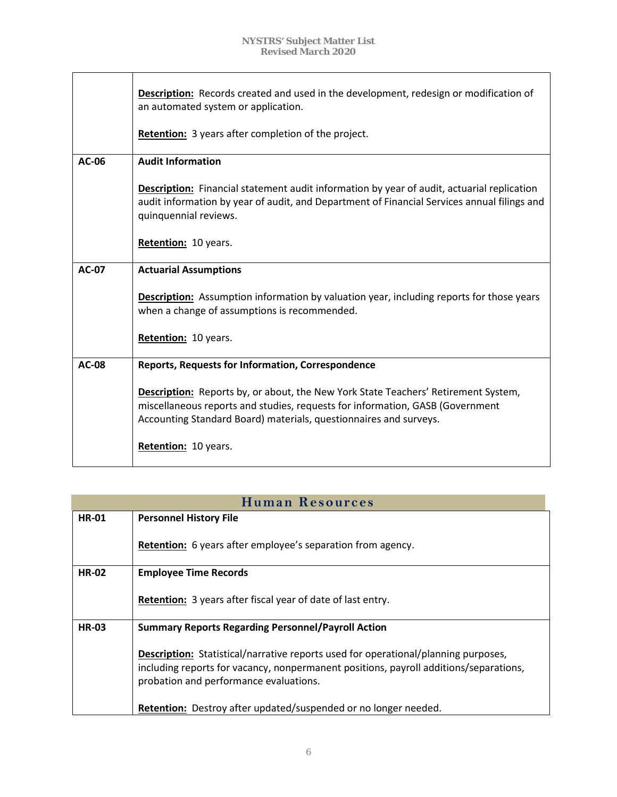|              | <b>Description:</b> Records created and used in the development, redesign or modification of<br>an automated system or application.                                                                                                             |
|--------------|-------------------------------------------------------------------------------------------------------------------------------------------------------------------------------------------------------------------------------------------------|
|              | <b>Retention:</b> 3 years after completion of the project.                                                                                                                                                                                      |
| AC-06        | <b>Audit Information</b>                                                                                                                                                                                                                        |
|              | <b>Description:</b> Financial statement audit information by year of audit, actuarial replication<br>audit information by year of audit, and Department of Financial Services annual filings and<br>quinquennial reviews.                       |
|              | Retention: 10 years.                                                                                                                                                                                                                            |
| <b>AC-07</b> | <b>Actuarial Assumptions</b>                                                                                                                                                                                                                    |
|              | <b>Description:</b> Assumption information by valuation year, including reports for those years<br>when a change of assumptions is recommended.                                                                                                 |
|              | Retention: 10 years.                                                                                                                                                                                                                            |
| $AC-08$      | <b>Reports, Requests for Information, Correspondence</b>                                                                                                                                                                                        |
|              | <b>Description:</b> Reports by, or about, the New York State Teachers' Retirement System,<br>miscellaneous reports and studies, requests for information, GASB (Government<br>Accounting Standard Board) materials, questionnaires and surveys. |
|              | Retention: 10 years.                                                                                                                                                                                                                            |

| <b>Human Resources</b> |                                                                                                                                                                                                                              |
|------------------------|------------------------------------------------------------------------------------------------------------------------------------------------------------------------------------------------------------------------------|
| <b>HR-01</b>           | <b>Personnel History File</b>                                                                                                                                                                                                |
|                        | <b>Retention:</b> 6 years after employee's separation from agency.                                                                                                                                                           |
| <b>HR-02</b>           | <b>Employee Time Records</b>                                                                                                                                                                                                 |
|                        | <b>Retention:</b> 3 years after fiscal year of date of last entry.                                                                                                                                                           |
| <b>HR-03</b>           | <b>Summary Reports Regarding Personnel/Payroll Action</b>                                                                                                                                                                    |
|                        | <b>Description:</b> Statistical/narrative reports used for operational/planning purposes,<br>including reports for vacancy, nonpermanent positions, payroll additions/separations,<br>probation and performance evaluations. |
|                        | Retention: Destroy after updated/suspended or no longer needed.                                                                                                                                                              |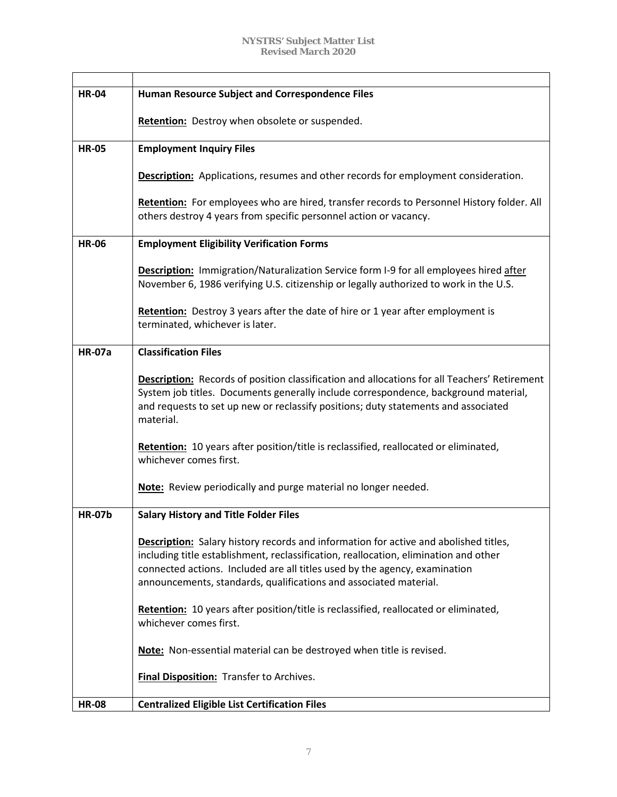| <b>HR-04</b>  | <b>Human Resource Subject and Correspondence Files</b>                                                                                                                                                                                                                                                                                 |
|---------------|----------------------------------------------------------------------------------------------------------------------------------------------------------------------------------------------------------------------------------------------------------------------------------------------------------------------------------------|
|               | <b>Retention:</b> Destroy when obsolete or suspended.                                                                                                                                                                                                                                                                                  |
|               |                                                                                                                                                                                                                                                                                                                                        |
| <b>HR-05</b>  | <b>Employment Inquiry Files</b>                                                                                                                                                                                                                                                                                                        |
|               | <b>Description:</b> Applications, resumes and other records for employment consideration.                                                                                                                                                                                                                                              |
|               | Retention: For employees who are hired, transfer records to Personnel History folder. All<br>others destroy 4 years from specific personnel action or vacancy.                                                                                                                                                                         |
| <b>HR-06</b>  | <b>Employment Eligibility Verification Forms</b>                                                                                                                                                                                                                                                                                       |
|               | Description: Immigration/Naturalization Service form I-9 for all employees hired after<br>November 6, 1986 verifying U.S. citizenship or legally authorized to work in the U.S.                                                                                                                                                        |
|               | <b>Retention:</b> Destroy 3 years after the date of hire or 1 year after employment is<br>terminated, whichever is later.                                                                                                                                                                                                              |
| <b>HR-07a</b> | <b>Classification Files</b>                                                                                                                                                                                                                                                                                                            |
|               | <b>Description:</b> Records of position classification and allocations for all Teachers' Retirement<br>System job titles. Documents generally include correspondence, background material,<br>and requests to set up new or reclassify positions; duty statements and associated<br>material.                                          |
|               | Retention: 10 years after position/title is reclassified, reallocated or eliminated,<br>whichever comes first.                                                                                                                                                                                                                         |
|               | Note: Review periodically and purge material no longer needed.                                                                                                                                                                                                                                                                         |
| <b>HR-07b</b> | <b>Salary History and Title Folder Files</b>                                                                                                                                                                                                                                                                                           |
|               | <b>Description:</b> Salary history records and information for active and abolished titles,<br>including title establishment, reclassification, reallocation, elimination and other<br>connected actions. Included are all titles used by the agency, examination<br>announcements, standards, qualifications and associated material. |
|               | Retention: 10 years after position/title is reclassified, reallocated or eliminated,<br>whichever comes first.                                                                                                                                                                                                                         |
|               | Note: Non-essential material can be destroyed when title is revised.                                                                                                                                                                                                                                                                   |
|               | <b>Final Disposition:</b> Transfer to Archives.                                                                                                                                                                                                                                                                                        |
| <b>HR-08</b>  | <b>Centralized Eligible List Certification Files</b>                                                                                                                                                                                                                                                                                   |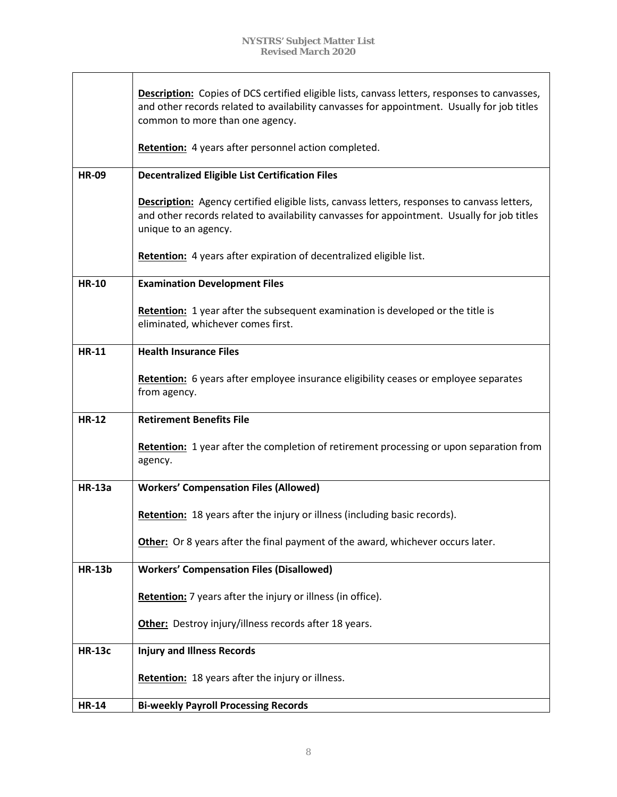|               | <b>Description:</b> Copies of DCS certified eligible lists, canvass letters, responses to canvasses,<br>and other records related to availability canvasses for appointment. Usually for job titles<br>common to more than one agency.<br>Retention: 4 years after personnel action completed. |
|---------------|------------------------------------------------------------------------------------------------------------------------------------------------------------------------------------------------------------------------------------------------------------------------------------------------|
| <b>HR-09</b>  | <b>Decentralized Eligible List Certification Files</b>                                                                                                                                                                                                                                         |
|               |                                                                                                                                                                                                                                                                                                |
|               | Description: Agency certified eligible lists, canvass letters, responses to canvass letters,<br>and other records related to availability canvasses for appointment. Usually for job titles<br>unique to an agency.                                                                            |
|               | Retention: 4 years after expiration of decentralized eligible list.                                                                                                                                                                                                                            |
| <b>HR-10</b>  | <b>Examination Development Files</b>                                                                                                                                                                                                                                                           |
|               | <b>Retention:</b> 1 year after the subsequent examination is developed or the title is<br>eliminated, whichever comes first.                                                                                                                                                                   |
| <b>HR-11</b>  | <b>Health Insurance Files</b>                                                                                                                                                                                                                                                                  |
|               | Retention: 6 years after employee insurance eligibility ceases or employee separates<br>from agency.                                                                                                                                                                                           |
| <b>HR-12</b>  | <b>Retirement Benefits File</b>                                                                                                                                                                                                                                                                |
|               | Retention: 1 year after the completion of retirement processing or upon separation from<br>agency.                                                                                                                                                                                             |
| <b>HR-13a</b> | <b>Workers' Compensation Files (Allowed)</b>                                                                                                                                                                                                                                                   |
|               | Retention: 18 years after the injury or illness (including basic records).                                                                                                                                                                                                                     |
|               | Other: Or 8 years after the final payment of the award, whichever occurs later.                                                                                                                                                                                                                |
| <b>HR-13b</b> | <b>Workers' Compensation Files (Disallowed)</b>                                                                                                                                                                                                                                                |
|               | Retention: 7 years after the injury or illness (in office).                                                                                                                                                                                                                                    |
|               | Other: Destroy injury/illness records after 18 years.                                                                                                                                                                                                                                          |
| <b>HR-13c</b> | <b>Injury and Illness Records</b>                                                                                                                                                                                                                                                              |
|               | Retention: 18 years after the injury or illness.                                                                                                                                                                                                                                               |
| <b>HR-14</b>  | <b>Bi-weekly Payroll Processing Records</b>                                                                                                                                                                                                                                                    |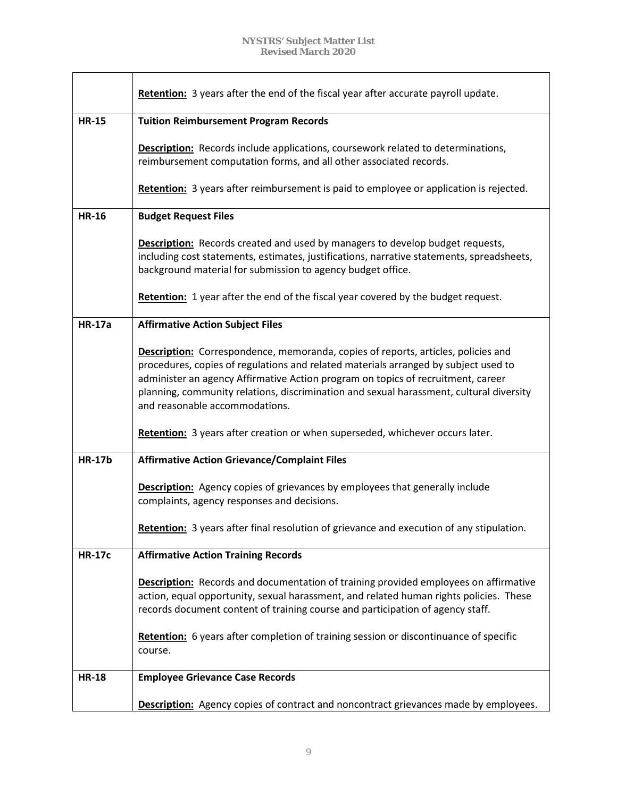|               | <b>Retention:</b> 3 years after the end of the fiscal year after accurate payroll update.                                                                                                                                                                                                                                                                                                        |
|---------------|--------------------------------------------------------------------------------------------------------------------------------------------------------------------------------------------------------------------------------------------------------------------------------------------------------------------------------------------------------------------------------------------------|
| <b>HR-15</b>  | <b>Tuition Reimbursement Program Records</b>                                                                                                                                                                                                                                                                                                                                                     |
|               | <b>Description:</b> Records include applications, coursework related to determinations,<br>reimbursement computation forms, and all other associated records.                                                                                                                                                                                                                                    |
|               | Retention: 3 years after reimbursement is paid to employee or application is rejected.                                                                                                                                                                                                                                                                                                           |
| <b>HR-16</b>  | <b>Budget Request Files</b>                                                                                                                                                                                                                                                                                                                                                                      |
|               | <b>Description:</b> Records created and used by managers to develop budget requests,<br>including cost statements, estimates, justifications, narrative statements, spreadsheets,<br>background material for submission to agency budget office.                                                                                                                                                 |
|               | <b>Retention:</b> 1 year after the end of the fiscal year covered by the budget request.                                                                                                                                                                                                                                                                                                         |
| <b>HR-17a</b> | <b>Affirmative Action Subject Files</b>                                                                                                                                                                                                                                                                                                                                                          |
|               | <b>Description:</b> Correspondence, memoranda, copies of reports, articles, policies and<br>procedures, copies of regulations and related materials arranged by subject used to<br>administer an agency Affirmative Action program on topics of recruitment, career<br>planning, community relations, discrimination and sexual harassment, cultural diversity<br>and reasonable accommodations. |
|               | Retention: 3 years after creation or when superseded, whichever occurs later.                                                                                                                                                                                                                                                                                                                    |
| <b>HR-17b</b> | <b>Affirmative Action Grievance/Complaint Files</b>                                                                                                                                                                                                                                                                                                                                              |
|               | <b>Description:</b> Agency copies of grievances by employees that generally include<br>complaints, agency responses and decisions.                                                                                                                                                                                                                                                               |
|               | Retention: 3 years after final resolution of grievance and execution of any stipulation.                                                                                                                                                                                                                                                                                                         |
| <b>HR-17c</b> | <b>Affirmative Action Training Records</b>                                                                                                                                                                                                                                                                                                                                                       |
|               | <b>Description:</b> Records and documentation of training provided employees on affirmative<br>action, equal opportunity, sexual harassment, and related human rights policies. These<br>records document content of training course and participation of agency staff.                                                                                                                          |
|               | Retention: 6 years after completion of training session or discontinuance of specific<br>course.                                                                                                                                                                                                                                                                                                 |
| <b>HR-18</b>  | <b>Employee Grievance Case Records</b>                                                                                                                                                                                                                                                                                                                                                           |
|               | <b>Description:</b> Agency copies of contract and noncontract grievances made by employees.                                                                                                                                                                                                                                                                                                      |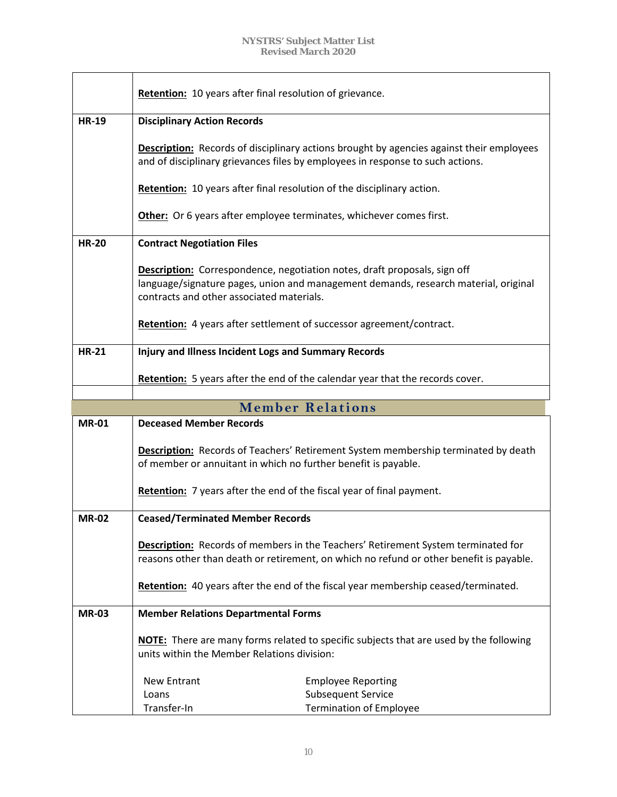|              | Retention: 10 years after final resolution of grievance.               |                                                                                                                                                                                   |
|--------------|------------------------------------------------------------------------|-----------------------------------------------------------------------------------------------------------------------------------------------------------------------------------|
| <b>HR-19</b> | <b>Disciplinary Action Records</b>                                     |                                                                                                                                                                                   |
|              | Retention: 10 years after final resolution of the disciplinary action. | <b>Description:</b> Records of disciplinary actions brought by agencies against their employees<br>and of disciplinary grievances files by employees in response to such actions. |
|              | Other: Or 6 years after employee terminates, whichever comes first.    |                                                                                                                                                                                   |
| <b>HR-20</b> | <b>Contract Negotiation Files</b>                                      |                                                                                                                                                                                   |
|              | contracts and other associated materials.                              | <b>Description:</b> Correspondence, negotiation notes, draft proposals, sign off<br>language/signature pages, union and management demands, research material, original           |
|              | Retention: 4 years after settlement of successor agreement/contract.   |                                                                                                                                                                                   |
| <b>HR-21</b> | <b>Injury and Illness Incident Logs and Summary Records</b>            |                                                                                                                                                                                   |
|              |                                                                        | Retention: 5 years after the end of the calendar year that the records cover.                                                                                                     |
|              |                                                                        |                                                                                                                                                                                   |
|              |                                                                        |                                                                                                                                                                                   |
|              |                                                                        | <b>Member Relations</b>                                                                                                                                                           |
| <b>MR-01</b> | <b>Deceased Member Records</b>                                         |                                                                                                                                                                                   |
|              | of member or annuitant in which no further benefit is payable.         | <b>Description:</b> Records of Teachers' Retirement System membership terminated by death                                                                                         |
|              | Retention: 7 years after the end of the fiscal year of final payment.  |                                                                                                                                                                                   |
| <b>MR-02</b> | <b>Ceased/Terminated Member Records</b>                                |                                                                                                                                                                                   |
|              |                                                                        | Description: Records of members in the Teachers' Retirement System terminated for<br>reasons other than death or retirement, on which no refund or other benefit is payable.      |
|              |                                                                        | Retention: 40 years after the end of the fiscal year membership ceased/terminated.                                                                                                |
| <b>MR-03</b> | <b>Member Relations Departmental Forms</b>                             |                                                                                                                                                                                   |
|              | units within the Member Relations division:                            | <b>NOTE:</b> There are many forms related to specific subjects that are used by the following                                                                                     |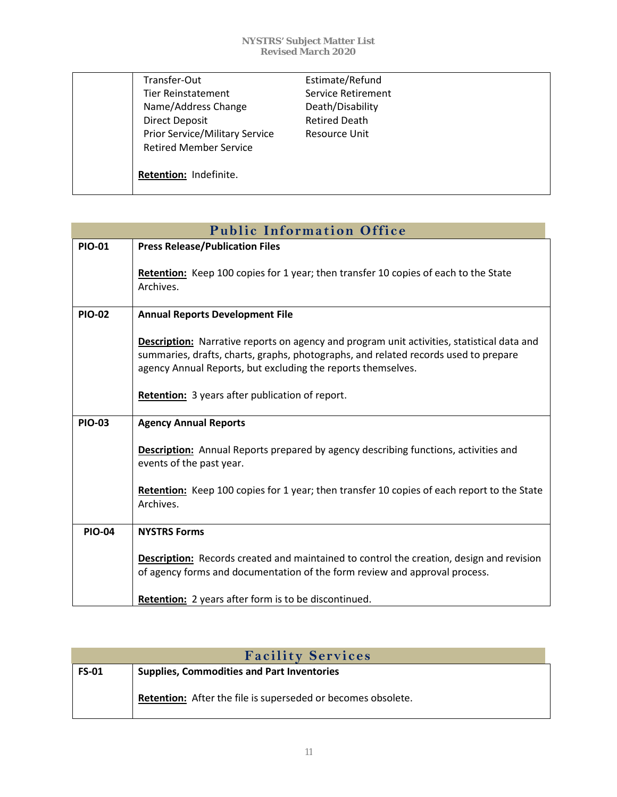| Transfer-Out                          | Estimate/Refund      |
|---------------------------------------|----------------------|
| <b>Tier Reinstatement</b>             | Service Retirement   |
| Name/Address Change                   | Death/Disability     |
| Direct Deposit                        | <b>Retired Death</b> |
| <b>Prior Service/Military Service</b> | <b>Resource Unit</b> |
| <b>Retired Member Service</b>         |                      |
|                                       |                      |
| Retention: Indefinite.                |                      |
|                                       |                      |

| <b>Public Information Office</b> |                                                                                                                                                                                                                                                          |  |
|----------------------------------|----------------------------------------------------------------------------------------------------------------------------------------------------------------------------------------------------------------------------------------------------------|--|
| <b>PIO-01</b>                    | <b>Press Release/Publication Files</b>                                                                                                                                                                                                                   |  |
|                                  | Retention: Keep 100 copies for 1 year; then transfer 10 copies of each to the State<br>Archives.                                                                                                                                                         |  |
| <b>PIO-02</b>                    | <b>Annual Reports Development File</b>                                                                                                                                                                                                                   |  |
|                                  | <b>Description:</b> Narrative reports on agency and program unit activities, statistical data and<br>summaries, drafts, charts, graphs, photographs, and related records used to prepare<br>agency Annual Reports, but excluding the reports themselves. |  |
|                                  | <b>Retention:</b> 3 years after publication of report.                                                                                                                                                                                                   |  |
| <b>PIO-03</b>                    | <b>Agency Annual Reports</b>                                                                                                                                                                                                                             |  |
|                                  | <b>Description:</b> Annual Reports prepared by agency describing functions, activities and<br>events of the past year.                                                                                                                                   |  |
|                                  | Retention: Keep 100 copies for 1 year; then transfer 10 copies of each report to the State<br>Archives.                                                                                                                                                  |  |
| <b>PIO-04</b>                    | <b>NYSTRS Forms</b>                                                                                                                                                                                                                                      |  |
|                                  | <b>Description:</b> Records created and maintained to control the creation, design and revision<br>of agency forms and documentation of the form review and approval process.                                                                            |  |
|                                  | <b>Retention:</b> 2 years after form is to be discontinued.                                                                                                                                                                                              |  |

| <b>Facility Services</b> |                                                              |
|--------------------------|--------------------------------------------------------------|
| <b>FS-01</b>             | <b>Supplies, Commodities and Part Inventories</b>            |
|                          | Retention: After the file is superseded or becomes obsolete. |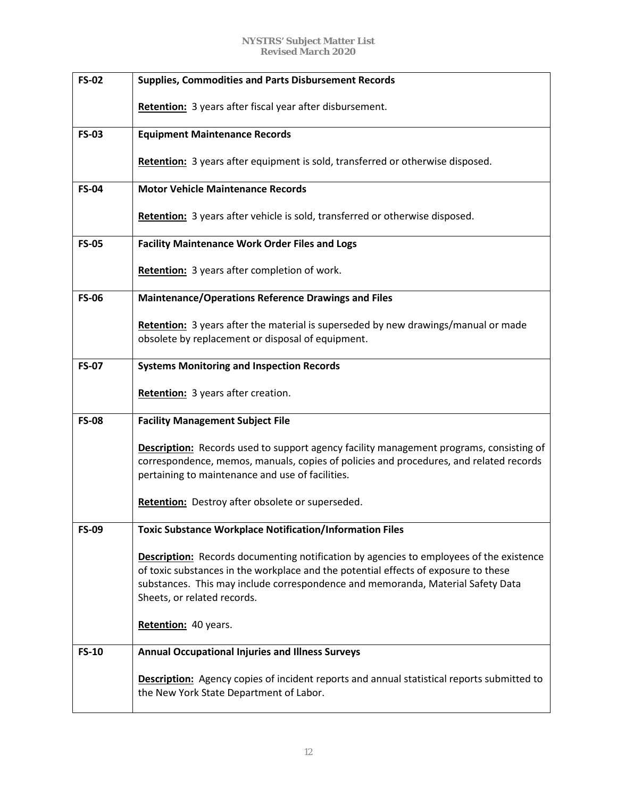| <b>FS-02</b> | <b>Supplies, Commodities and Parts Disbursement Records</b>                                                                                                                                                                                                                                      |
|--------------|--------------------------------------------------------------------------------------------------------------------------------------------------------------------------------------------------------------------------------------------------------------------------------------------------|
|              | Retention: 3 years after fiscal year after disbursement.                                                                                                                                                                                                                                         |
| <b>FS-03</b> | <b>Equipment Maintenance Records</b>                                                                                                                                                                                                                                                             |
|              | Retention: 3 years after equipment is sold, transferred or otherwise disposed.                                                                                                                                                                                                                   |
| <b>FS-04</b> | <b>Motor Vehicle Maintenance Records</b>                                                                                                                                                                                                                                                         |
|              | Retention: 3 years after vehicle is sold, transferred or otherwise disposed.                                                                                                                                                                                                                     |
| <b>FS-05</b> | <b>Facility Maintenance Work Order Files and Logs</b>                                                                                                                                                                                                                                            |
|              | Retention: 3 years after completion of work.                                                                                                                                                                                                                                                     |
| <b>FS-06</b> | <b>Maintenance/Operations Reference Drawings and Files</b>                                                                                                                                                                                                                                       |
|              | Retention: 3 years after the material is superseded by new drawings/manual or made<br>obsolete by replacement or disposal of equipment.                                                                                                                                                          |
| <b>FS-07</b> | <b>Systems Monitoring and Inspection Records</b>                                                                                                                                                                                                                                                 |
|              | Retention: 3 years after creation.                                                                                                                                                                                                                                                               |
| <b>FS-08</b> | <b>Facility Management Subject File</b>                                                                                                                                                                                                                                                          |
|              | <b>Description:</b> Records used to support agency facility management programs, consisting of<br>correspondence, memos, manuals, copies of policies and procedures, and related records<br>pertaining to maintenance and use of facilities.                                                     |
|              | Retention: Destroy after obsolete or superseded.                                                                                                                                                                                                                                                 |
| <b>FS-09</b> | <b>Toxic Substance Workplace Notification/Information Files</b>                                                                                                                                                                                                                                  |
|              | Description: Records documenting notification by agencies to employees of the existence<br>of toxic substances in the workplace and the potential effects of exposure to these<br>substances. This may include correspondence and memoranda, Material Safety Data<br>Sheets, or related records. |
|              | Retention: 40 years.                                                                                                                                                                                                                                                                             |
| <b>FS-10</b> | <b>Annual Occupational Injuries and Illness Surveys</b>                                                                                                                                                                                                                                          |
|              | <b>Description:</b> Agency copies of incident reports and annual statistical reports submitted to<br>the New York State Department of Labor.                                                                                                                                                     |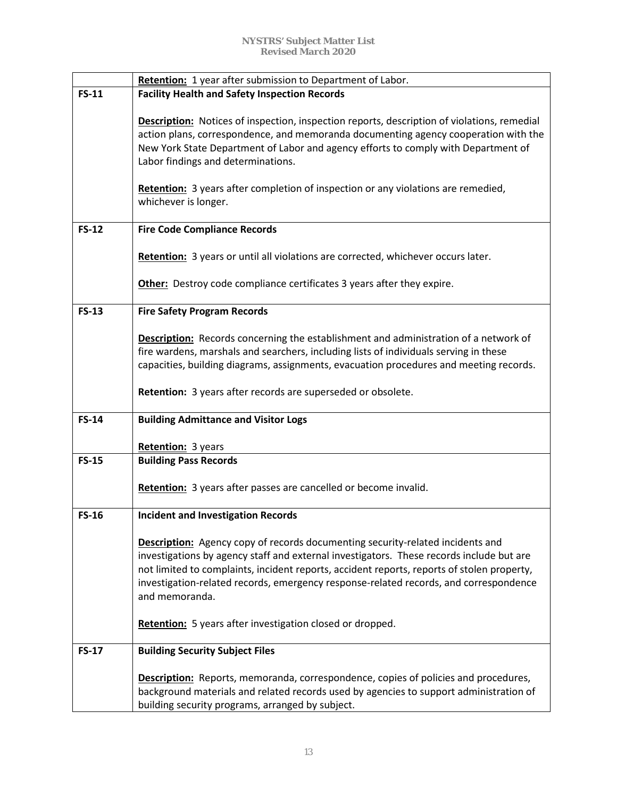|              | Retention: 1 year after submission to Department of Labor.                                                                                                                                                                                                                                                                                                                          |
|--------------|-------------------------------------------------------------------------------------------------------------------------------------------------------------------------------------------------------------------------------------------------------------------------------------------------------------------------------------------------------------------------------------|
| <b>FS-11</b> | <b>Facility Health and Safety Inspection Records</b>                                                                                                                                                                                                                                                                                                                                |
|              | <b>Description:</b> Notices of inspection, inspection reports, description of violations, remedial<br>action plans, correspondence, and memoranda documenting agency cooperation with the<br>New York State Department of Labor and agency efforts to comply with Department of<br>Labor findings and determinations.                                                               |
|              | Retention: 3 years after completion of inspection or any violations are remedied,<br>whichever is longer.                                                                                                                                                                                                                                                                           |
| <b>FS-12</b> | <b>Fire Code Compliance Records</b>                                                                                                                                                                                                                                                                                                                                                 |
|              | Retention: 3 years or until all violations are corrected, whichever occurs later.                                                                                                                                                                                                                                                                                                   |
|              | Other: Destroy code compliance certificates 3 years after they expire.                                                                                                                                                                                                                                                                                                              |
| $FS-13$      | <b>Fire Safety Program Records</b>                                                                                                                                                                                                                                                                                                                                                  |
|              | <b>Description:</b> Records concerning the establishment and administration of a network of<br>fire wardens, marshals and searchers, including lists of individuals serving in these<br>capacities, building diagrams, assignments, evacuation procedures and meeting records.                                                                                                      |
|              | Retention: 3 years after records are superseded or obsolete.                                                                                                                                                                                                                                                                                                                        |
| <b>FS-14</b> | <b>Building Admittance and Visitor Logs</b>                                                                                                                                                                                                                                                                                                                                         |
|              | Retention: 3 years                                                                                                                                                                                                                                                                                                                                                                  |
| <b>FS-15</b> | <b>Building Pass Records</b>                                                                                                                                                                                                                                                                                                                                                        |
|              | <b>Retention:</b> 3 years after passes are cancelled or become invalid.                                                                                                                                                                                                                                                                                                             |
| <b>FS-16</b> | <b>Incident and Investigation Records</b>                                                                                                                                                                                                                                                                                                                                           |
|              | Description: Agency copy of records documenting security-related incidents and<br>investigations by agency staff and external investigators. These records include but are<br>not limited to complaints, incident reports, accident reports, reports of stolen property,<br>investigation-related records, emergency response-related records, and correspondence<br>and memoranda. |
|              | Retention: 5 years after investigation closed or dropped.                                                                                                                                                                                                                                                                                                                           |
| <b>FS-17</b> | <b>Building Security Subject Files</b>                                                                                                                                                                                                                                                                                                                                              |
|              | <b>Description:</b> Reports, memoranda, correspondence, copies of policies and procedures,<br>background materials and related records used by agencies to support administration of<br>building security programs, arranged by subject.                                                                                                                                            |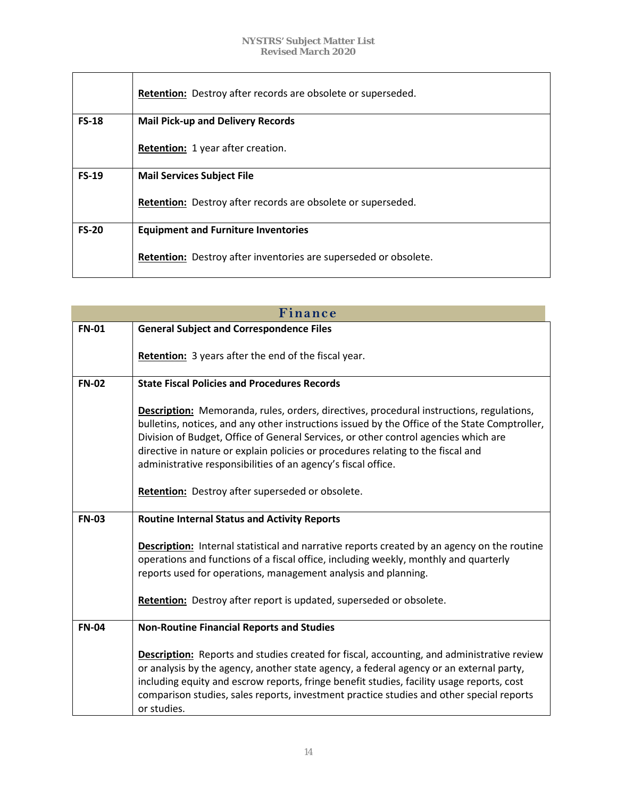|              | <b>Retention:</b> Destroy after records are obsolete or superseded. |
|--------------|---------------------------------------------------------------------|
| <b>FS-18</b> | <b>Mail Pick-up and Delivery Records</b>                            |
|              | <b>Retention:</b> 1 year after creation.                            |
| $FS-19$      | <b>Mail Services Subject File</b>                                   |
|              | Retention: Destroy after records are obsolete or superseded.        |
| <b>FS-20</b> | <b>Equipment and Furniture Inventories</b>                          |
|              | Retention: Destroy after inventories are superseded or obsolete.    |

| Finance      |                                                                                                                                                                                                                                                                                                                                                                                                                                       |  |
|--------------|---------------------------------------------------------------------------------------------------------------------------------------------------------------------------------------------------------------------------------------------------------------------------------------------------------------------------------------------------------------------------------------------------------------------------------------|--|
| <b>FN-01</b> | <b>General Subject and Correspondence Files</b>                                                                                                                                                                                                                                                                                                                                                                                       |  |
|              | <b>Retention:</b> 3 years after the end of the fiscal year.                                                                                                                                                                                                                                                                                                                                                                           |  |
| <b>FN-02</b> | <b>State Fiscal Policies and Procedures Records</b>                                                                                                                                                                                                                                                                                                                                                                                   |  |
|              | Description: Memoranda, rules, orders, directives, procedural instructions, regulations,<br>bulletins, notices, and any other instructions issued by the Office of the State Comptroller,<br>Division of Budget, Office of General Services, or other control agencies which are<br>directive in nature or explain policies or procedures relating to the fiscal and<br>administrative responsibilities of an agency's fiscal office. |  |
|              | Retention: Destroy after superseded or obsolete.                                                                                                                                                                                                                                                                                                                                                                                      |  |
| <b>FN-03</b> | <b>Routine Internal Status and Activity Reports</b>                                                                                                                                                                                                                                                                                                                                                                                   |  |
|              | <b>Description:</b> Internal statistical and narrative reports created by an agency on the routine<br>operations and functions of a fiscal office, including weekly, monthly and quarterly<br>reports used for operations, management analysis and planning.                                                                                                                                                                          |  |
|              | Retention: Destroy after report is updated, superseded or obsolete.                                                                                                                                                                                                                                                                                                                                                                   |  |
| <b>FN-04</b> | <b>Non-Routine Financial Reports and Studies</b>                                                                                                                                                                                                                                                                                                                                                                                      |  |
|              | <b>Description:</b> Reports and studies created for fiscal, accounting, and administrative review<br>or analysis by the agency, another state agency, a federal agency or an external party,<br>including equity and escrow reports, fringe benefit studies, facility usage reports, cost<br>comparison studies, sales reports, investment practice studies and other special reports<br>or studies.                                  |  |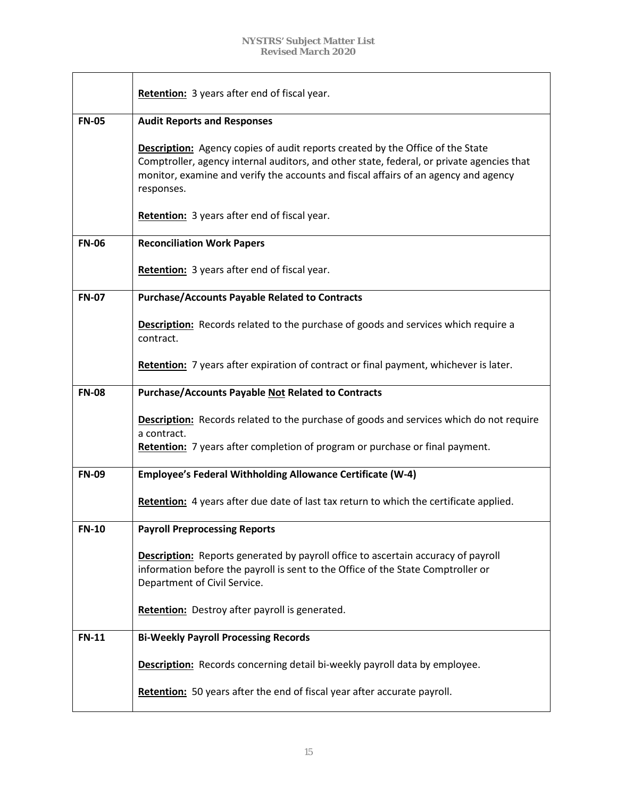|              | Retention: 3 years after end of fiscal year.                                                                                                                                                                                                                                            |
|--------------|-----------------------------------------------------------------------------------------------------------------------------------------------------------------------------------------------------------------------------------------------------------------------------------------|
| <b>FN-05</b> | <b>Audit Reports and Responses</b>                                                                                                                                                                                                                                                      |
|              | <b>Description:</b> Agency copies of audit reports created by the Office of the State<br>Comptroller, agency internal auditors, and other state, federal, or private agencies that<br>monitor, examine and verify the accounts and fiscal affairs of an agency and agency<br>responses. |
|              | Retention: 3 years after end of fiscal year.                                                                                                                                                                                                                                            |
| <b>FN-06</b> | <b>Reconciliation Work Papers</b>                                                                                                                                                                                                                                                       |
|              | Retention: 3 years after end of fiscal year.                                                                                                                                                                                                                                            |
| <b>FN-07</b> | <b>Purchase/Accounts Payable Related to Contracts</b>                                                                                                                                                                                                                                   |
|              | <b>Description:</b> Records related to the purchase of goods and services which require a<br>contract.                                                                                                                                                                                  |
|              | Retention: 7 years after expiration of contract or final payment, whichever is later.                                                                                                                                                                                                   |
| <b>FN-08</b> | <b>Purchase/Accounts Payable Not Related to Contracts</b>                                                                                                                                                                                                                               |
|              | <b>Description:</b> Records related to the purchase of goods and services which do not require                                                                                                                                                                                          |
|              | a contract.<br>Retention: 7 years after completion of program or purchase or final payment.                                                                                                                                                                                             |
| <b>FN-09</b> | Employee's Federal Withholding Allowance Certificate (W-4)                                                                                                                                                                                                                              |
|              | Retention: 4 years after due date of last tax return to which the certificate applied.                                                                                                                                                                                                  |
| <b>FN-10</b> | <b>Payroll Preprocessing Reports</b>                                                                                                                                                                                                                                                    |
|              | <b>Description:</b> Reports generated by payroll office to ascertain accuracy of payroll<br>information before the payroll is sent to the Office of the State Comptroller or<br>Department of Civil Service.                                                                            |
|              | <b>Retention:</b> Destroy after payroll is generated.                                                                                                                                                                                                                                   |
| <b>FN-11</b> | <b>Bi-Weekly Payroll Processing Records</b>                                                                                                                                                                                                                                             |
|              | <b>Description:</b> Records concerning detail bi-weekly payroll data by employee.                                                                                                                                                                                                       |
|              | Retention: 50 years after the end of fiscal year after accurate payroll.                                                                                                                                                                                                                |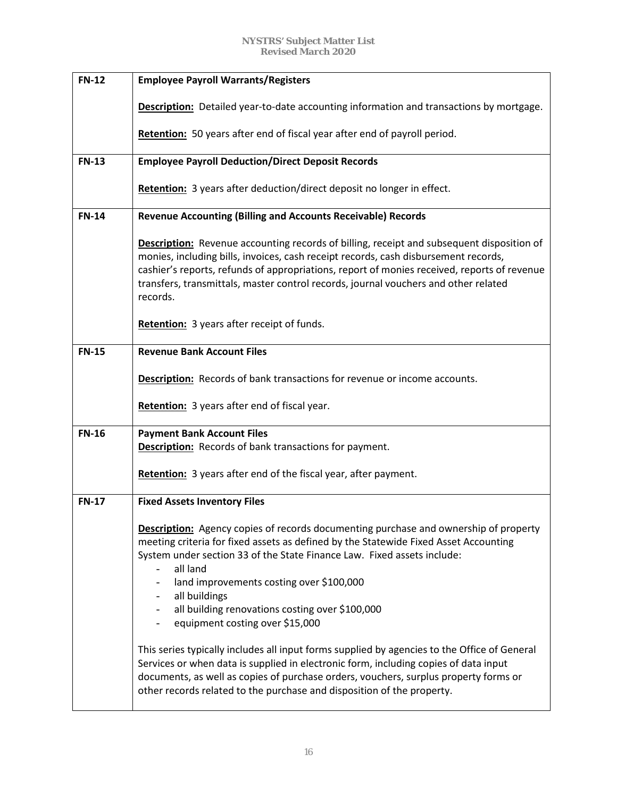| <b>FN-12</b> | <b>Employee Payroll Warrants/Registers</b>                                                                                                                                                                                                                                                                                                                                                                                    |
|--------------|-------------------------------------------------------------------------------------------------------------------------------------------------------------------------------------------------------------------------------------------------------------------------------------------------------------------------------------------------------------------------------------------------------------------------------|
|              | <b>Description:</b> Detailed year-to-date accounting information and transactions by mortgage.                                                                                                                                                                                                                                                                                                                                |
|              | Retention: 50 years after end of fiscal year after end of payroll period.                                                                                                                                                                                                                                                                                                                                                     |
| <b>FN-13</b> | <b>Employee Payroll Deduction/Direct Deposit Records</b>                                                                                                                                                                                                                                                                                                                                                                      |
|              | <b>Retention:</b> 3 years after deduction/direct deposit no longer in effect.                                                                                                                                                                                                                                                                                                                                                 |
| <b>FN-14</b> | <b>Revenue Accounting (Billing and Accounts Receivable) Records</b>                                                                                                                                                                                                                                                                                                                                                           |
|              | <b>Description:</b> Revenue accounting records of billing, receipt and subsequent disposition of<br>monies, including bills, invoices, cash receipt records, cash disbursement records,<br>cashier's reports, refunds of appropriations, report of monies received, reports of revenue<br>transfers, transmittals, master control records, journal vouchers and other related<br>records.                                     |
|              | Retention: 3 years after receipt of funds.                                                                                                                                                                                                                                                                                                                                                                                    |
| <b>FN-15</b> | <b>Revenue Bank Account Files</b>                                                                                                                                                                                                                                                                                                                                                                                             |
|              | Description: Records of bank transactions for revenue or income accounts.                                                                                                                                                                                                                                                                                                                                                     |
|              | Retention: 3 years after end of fiscal year.                                                                                                                                                                                                                                                                                                                                                                                  |
| <b>FN-16</b> | <b>Payment Bank Account Files</b>                                                                                                                                                                                                                                                                                                                                                                                             |
|              | <b>Description:</b> Records of bank transactions for payment.                                                                                                                                                                                                                                                                                                                                                                 |
|              | Retention: 3 years after end of the fiscal year, after payment.                                                                                                                                                                                                                                                                                                                                                               |
| <b>FN-17</b> | <b>Fixed Assets Inventory Files</b>                                                                                                                                                                                                                                                                                                                                                                                           |
|              | <b>Description:</b> Agency copies of records documenting purchase and ownership of property<br>meeting criteria for fixed assets as defined by the Statewide Fixed Asset Accounting<br>System under section 33 of the State Finance Law. Fixed assets include:<br>all land<br>land improvements costing over \$100,000<br>all buildings<br>all building renovations costing over \$100,000<br>equipment costing over \$15,000 |
|              | This series typically includes all input forms supplied by agencies to the Office of General<br>Services or when data is supplied in electronic form, including copies of data input<br>documents, as well as copies of purchase orders, vouchers, surplus property forms or<br>other records related to the purchase and disposition of the property.                                                                        |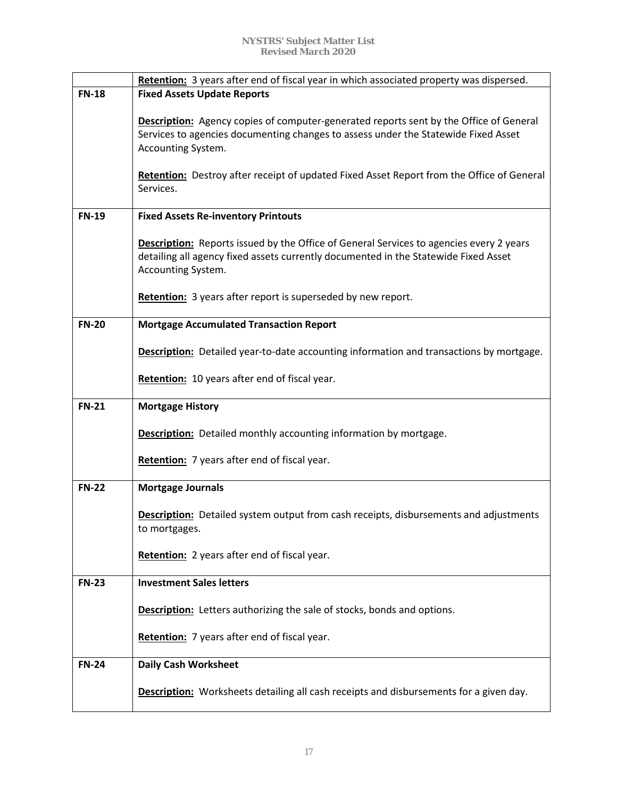|              | Retention: 3 years after end of fiscal year in which associated property was dispersed.       |
|--------------|-----------------------------------------------------------------------------------------------|
| <b>FN-18</b> | <b>Fixed Assets Update Reports</b>                                                            |
|              |                                                                                               |
|              | <b>Description:</b> Agency copies of computer-generated reports sent by the Office of General |
|              | Services to agencies documenting changes to assess under the Statewide Fixed Asset            |
|              | Accounting System.                                                                            |
|              |                                                                                               |
|              | Retention: Destroy after receipt of updated Fixed Asset Report from the Office of General     |
|              | Services.                                                                                     |
|              |                                                                                               |
| <b>FN-19</b> | <b>Fixed Assets Re-inventory Printouts</b>                                                    |
|              |                                                                                               |
|              | Description: Reports issued by the Office of General Services to agencies every 2 years       |
|              | detailing all agency fixed assets currently documented in the Statewide Fixed Asset           |
|              | Accounting System.                                                                            |
|              |                                                                                               |
|              | Retention: 3 years after report is superseded by new report.                                  |
|              |                                                                                               |
| <b>FN-20</b> | <b>Mortgage Accumulated Transaction Report</b>                                                |
|              |                                                                                               |
|              | Description: Detailed year-to-date accounting information and transactions by mortgage.       |
|              |                                                                                               |
|              | Retention: 10 years after end of fiscal year.                                                 |
|              |                                                                                               |
| <b>FN-21</b> | <b>Mortgage History</b>                                                                       |
|              |                                                                                               |
|              | Description: Detailed monthly accounting information by mortgage.                             |
|              |                                                                                               |
|              | Retention: 7 years after end of fiscal year.                                                  |
|              |                                                                                               |
| <b>FN-22</b> | <b>Mortgage Journals</b>                                                                      |
|              |                                                                                               |
|              | <b>Description:</b> Detailed system output from cash receipts, disbursements and adjustments  |
|              | to mortgages.                                                                                 |
|              |                                                                                               |
|              | Retention: 2 years after end of fiscal year.                                                  |
|              |                                                                                               |
| <b>FN-23</b> | <b>Investment Sales letters</b>                                                               |
|              |                                                                                               |
|              | <b>Description:</b> Letters authorizing the sale of stocks, bonds and options.                |
|              |                                                                                               |
|              | Retention: 7 years after end of fiscal year.                                                  |
|              |                                                                                               |
| <b>FN-24</b> | <b>Daily Cash Worksheet</b>                                                                   |
|              |                                                                                               |
|              | <b>Description:</b> Worksheets detailing all cash receipts and disbursements for a given day. |
|              |                                                                                               |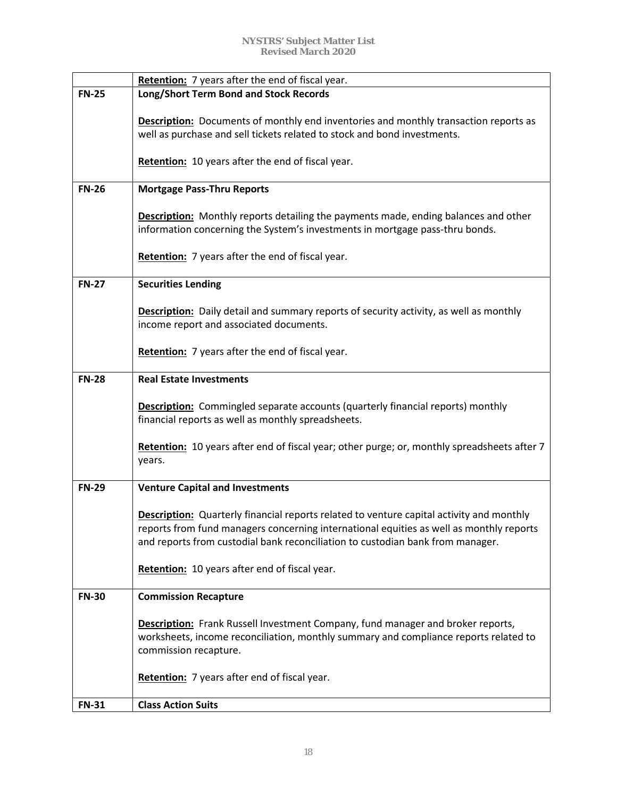|              | Retention: 7 years after the end of fiscal year.                                                |
|--------------|-------------------------------------------------------------------------------------------------|
| <b>FN-25</b> | <b>Long/Short Term Bond and Stock Records</b>                                                   |
|              | <b>Description:</b> Documents of monthly end inventories and monthly transaction reports as     |
|              | well as purchase and sell tickets related to stock and bond investments.                        |
|              |                                                                                                 |
|              | Retention: 10 years after the end of fiscal year.                                               |
| <b>FN-26</b> | <b>Mortgage Pass-Thru Reports</b>                                                               |
|              |                                                                                                 |
|              | Description: Monthly reports detailing the payments made, ending balances and other             |
|              | information concerning the System's investments in mortgage pass-thru bonds.                    |
|              |                                                                                                 |
|              | Retention: 7 years after the end of fiscal year.                                                |
|              |                                                                                                 |
| <b>FN-27</b> | <b>Securities Lending</b>                                                                       |
|              |                                                                                                 |
|              | <b>Description:</b> Daily detail and summary reports of security activity, as well as monthly   |
|              | income report and associated documents.                                                         |
|              |                                                                                                 |
|              | Retention: 7 years after the end of fiscal year.                                                |
|              |                                                                                                 |
| <b>FN-28</b> | <b>Real Estate Investments</b>                                                                  |
|              |                                                                                                 |
|              | <b>Description:</b> Commingled separate accounts (quarterly financial reports) monthly          |
|              | financial reports as well as monthly spreadsheets.                                              |
|              |                                                                                                 |
|              | Retention: 10 years after end of fiscal year; other purge; or, monthly spreadsheets after 7     |
|              | years.                                                                                          |
| <b>FN-29</b> | <b>Venture Capital and Investments</b>                                                          |
|              |                                                                                                 |
|              | <b>Description:</b> Quarterly financial reports related to venture capital activity and monthly |
|              | reports from fund managers concerning international equities as well as monthly reports         |
|              | and reports from custodial bank reconciliation to custodian bank from manager.                  |
|              |                                                                                                 |
|              | Retention: 10 years after end of fiscal year.                                                   |
|              |                                                                                                 |
| <b>FN-30</b> | <b>Commission Recapture</b>                                                                     |
|              |                                                                                                 |
|              | Description: Frank Russell Investment Company, fund manager and broker reports,                 |
|              | worksheets, income reconciliation, monthly summary and compliance reports related to            |
|              | commission recapture.                                                                           |
|              |                                                                                                 |
|              | Retention: 7 years after end of fiscal year.                                                    |
|              |                                                                                                 |
| <b>FN-31</b> | <b>Class Action Suits</b>                                                                       |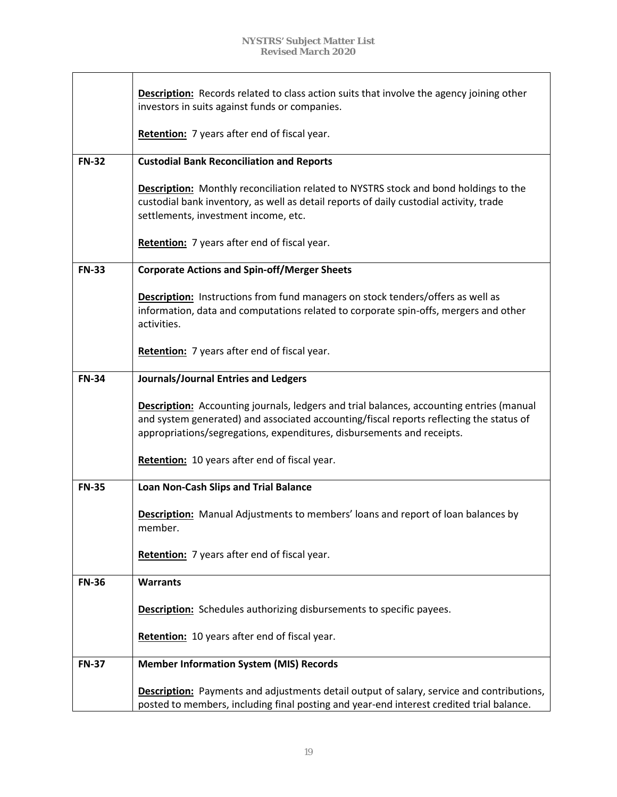|              | <b>Description:</b> Records related to class action suits that involve the agency joining other<br>investors in suits against funds or companies.                                                                                                             |
|--------------|---------------------------------------------------------------------------------------------------------------------------------------------------------------------------------------------------------------------------------------------------------------|
|              | Retention: 7 years after end of fiscal year.                                                                                                                                                                                                                  |
| <b>FN-32</b> | <b>Custodial Bank Reconciliation and Reports</b>                                                                                                                                                                                                              |
|              | <b>Description:</b> Monthly reconciliation related to NYSTRS stock and bond holdings to the<br>custodial bank inventory, as well as detail reports of daily custodial activity, trade<br>settlements, investment income, etc.                                 |
|              | Retention: 7 years after end of fiscal year.                                                                                                                                                                                                                  |
| <b>FN-33</b> | <b>Corporate Actions and Spin-off/Merger Sheets</b>                                                                                                                                                                                                           |
|              | <b>Description:</b> Instructions from fund managers on stock tenders/offers as well as<br>information, data and computations related to corporate spin-offs, mergers and other<br>activities.                                                                 |
|              | Retention: 7 years after end of fiscal year.                                                                                                                                                                                                                  |
| <b>FN-34</b> | <b>Journals/Journal Entries and Ledgers</b>                                                                                                                                                                                                                   |
|              | Description: Accounting journals, ledgers and trial balances, accounting entries (manual<br>and system generated) and associated accounting/fiscal reports reflecting the status of<br>appropriations/segregations, expenditures, disbursements and receipts. |
|              | Retention: 10 years after end of fiscal year.                                                                                                                                                                                                                 |
| <b>FN-35</b> | <b>Loan Non-Cash Slips and Trial Balance</b>                                                                                                                                                                                                                  |
|              | Description: Manual Adjustments to members' loans and report of loan balances by<br>member.                                                                                                                                                                   |
|              | Retention: 7 years after end of fiscal year.                                                                                                                                                                                                                  |
| <b>FN-36</b> | <b>Warrants</b>                                                                                                                                                                                                                                               |
|              | <b>Description:</b> Schedules authorizing disbursements to specific payees.                                                                                                                                                                                   |
|              | Retention: 10 years after end of fiscal year.                                                                                                                                                                                                                 |
| <b>FN-37</b> | <b>Member Information System (MIS) Records</b>                                                                                                                                                                                                                |
|              | <b>Description:</b> Payments and adjustments detail output of salary, service and contributions,<br>posted to members, including final posting and year-end interest credited trial balance.                                                                  |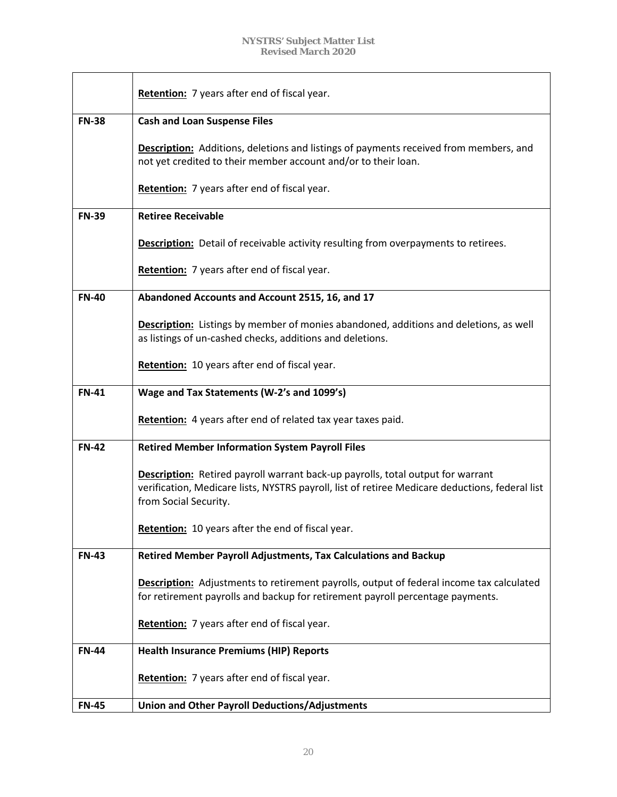|              | Retention: 7 years after end of fiscal year.                                                                                                                                                                       |
|--------------|--------------------------------------------------------------------------------------------------------------------------------------------------------------------------------------------------------------------|
| <b>FN-38</b> | <b>Cash and Loan Suspense Files</b>                                                                                                                                                                                |
|              | <b>Description:</b> Additions, deletions and listings of payments received from members, and<br>not yet credited to their member account and/or to their loan.                                                     |
|              | Retention: 7 years after end of fiscal year.                                                                                                                                                                       |
| <b>FN-39</b> | <b>Retiree Receivable</b>                                                                                                                                                                                          |
|              | Description: Detail of receivable activity resulting from overpayments to retirees.                                                                                                                                |
|              | Retention: 7 years after end of fiscal year.                                                                                                                                                                       |
| <b>FN-40</b> | Abandoned Accounts and Account 2515, 16, and 17                                                                                                                                                                    |
|              | <b>Description:</b> Listings by member of monies abandoned, additions and deletions, as well<br>as listings of un-cashed checks, additions and deletions.                                                          |
|              | Retention: 10 years after end of fiscal year.                                                                                                                                                                      |
| <b>FN-41</b> | Wage and Tax Statements (W-2's and 1099's)                                                                                                                                                                         |
|              | Retention: 4 years after end of related tax year taxes paid.                                                                                                                                                       |
| <b>FN-42</b> | <b>Retired Member Information System Payroll Files</b>                                                                                                                                                             |
|              | <b>Description:</b> Retired payroll warrant back-up payrolls, total output for warrant<br>verification, Medicare lists, NYSTRS payroll, list of retiree Medicare deductions, federal list<br>from Social Security. |
|              | Retention: 10 years after the end of fiscal year.                                                                                                                                                                  |
| <b>FN-43</b> | <b>Retired Member Payroll Adjustments, Tax Calculations and Backup</b>                                                                                                                                             |
|              | <b>Description:</b> Adjustments to retirement payrolls, output of federal income tax calculated<br>for retirement payrolls and backup for retirement payroll percentage payments.                                  |
|              | Retention: 7 years after end of fiscal year.                                                                                                                                                                       |
| <b>FN-44</b> | <b>Health Insurance Premiums (HIP) Reports</b>                                                                                                                                                                     |
|              | Retention: 7 years after end of fiscal year.                                                                                                                                                                       |
| <b>FN-45</b> | <b>Union and Other Payroll Deductions/Adjustments</b>                                                                                                                                                              |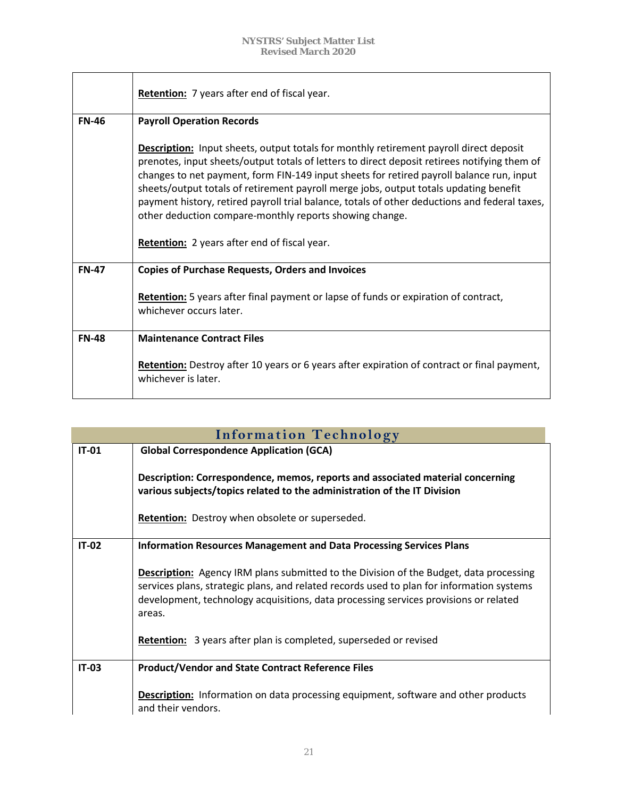|              | <b>Retention:</b> 7 years after end of fiscal year.                                                                                                                                                                                                                                                                                                                                                                                                                                                                                                                                            |
|--------------|------------------------------------------------------------------------------------------------------------------------------------------------------------------------------------------------------------------------------------------------------------------------------------------------------------------------------------------------------------------------------------------------------------------------------------------------------------------------------------------------------------------------------------------------------------------------------------------------|
| <b>FN-46</b> | <b>Payroll Operation Records</b>                                                                                                                                                                                                                                                                                                                                                                                                                                                                                                                                                               |
|              | <b>Description:</b> Input sheets, output totals for monthly retirement payroll direct deposit<br>prenotes, input sheets/output totals of letters to direct deposit retirees notifying them of<br>changes to net payment, form FIN-149 input sheets for retired payroll balance run, input<br>sheets/output totals of retirement payroll merge jobs, output totals updating benefit<br>payment history, retired payroll trial balance, totals of other deductions and federal taxes,<br>other deduction compare-monthly reports showing change.<br>Retention: 2 years after end of fiscal year. |
| <b>FN-47</b> | <b>Copies of Purchase Requests, Orders and Invoices</b>                                                                                                                                                                                                                                                                                                                                                                                                                                                                                                                                        |
|              | Retention: 5 years after final payment or lapse of funds or expiration of contract,<br>whichever occurs later.                                                                                                                                                                                                                                                                                                                                                                                                                                                                                 |
| <b>FN-48</b> | <b>Maintenance Contract Files</b>                                                                                                                                                                                                                                                                                                                                                                                                                                                                                                                                                              |
|              | <b>Retention:</b> Destroy after 10 years or 6 years after expiration of contract or final payment,<br>whichever is later.                                                                                                                                                                                                                                                                                                                                                                                                                                                                      |

| <b>Information Technology</b> |                                                                                                                                                                                                                                                                                              |
|-------------------------------|----------------------------------------------------------------------------------------------------------------------------------------------------------------------------------------------------------------------------------------------------------------------------------------------|
| <b>IT-01</b>                  | <b>Global Correspondence Application (GCA)</b>                                                                                                                                                                                                                                               |
|                               | Description: Correspondence, memos, reports and associated material concerning<br>various subjects/topics related to the administration of the IT Division                                                                                                                                   |
|                               | <b>Retention:</b> Destroy when obsolete or superseded.                                                                                                                                                                                                                                       |
| $IT-02$                       | <b>Information Resources Management and Data Processing Services Plans</b>                                                                                                                                                                                                                   |
|                               | <b>Description:</b> Agency IRM plans submitted to the Division of the Budget, data processing<br>services plans, strategic plans, and related records used to plan for information systems<br>development, technology acquisitions, data processing services provisions or related<br>areas. |
|                               | <b>Retention:</b> 3 years after plan is completed, superseded or revised                                                                                                                                                                                                                     |
| <b>IT-03</b>                  | <b>Product/Vendor and State Contract Reference Files</b>                                                                                                                                                                                                                                     |
|                               | <b>Description:</b> Information on data processing equipment, software and other products<br>and their vendors.                                                                                                                                                                              |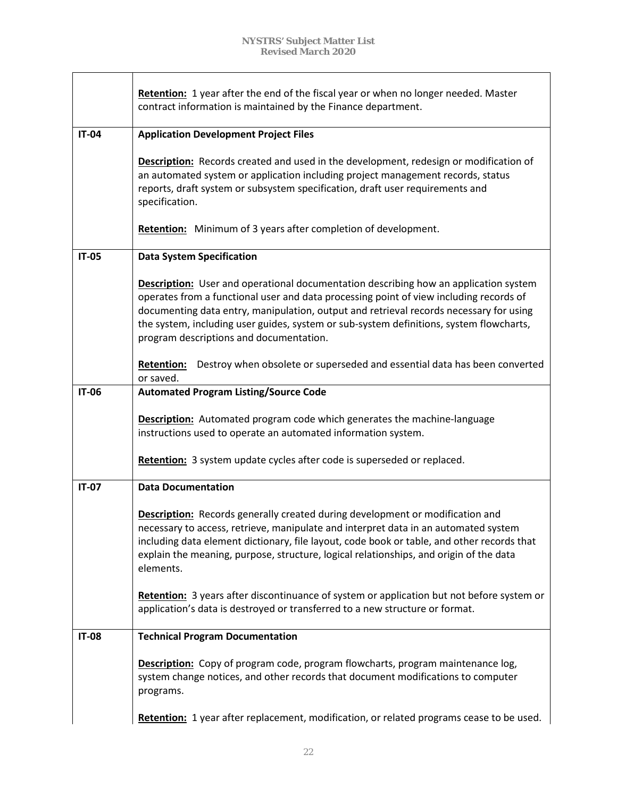|              | Retention: 1 year after the end of the fiscal year or when no longer needed. Master<br>contract information is maintained by the Finance department.                                                                                                                                                                                                                                                                  |
|--------------|-----------------------------------------------------------------------------------------------------------------------------------------------------------------------------------------------------------------------------------------------------------------------------------------------------------------------------------------------------------------------------------------------------------------------|
| <b>IT-04</b> | <b>Application Development Project Files</b>                                                                                                                                                                                                                                                                                                                                                                          |
|              | <b>Description:</b> Records created and used in the development, redesign or modification of<br>an automated system or application including project management records, status<br>reports, draft system or subsystem specification, draft user requirements and<br>specification.                                                                                                                                    |
|              | <b>Retention:</b> Minimum of 3 years after completion of development.                                                                                                                                                                                                                                                                                                                                                 |
| <b>IT-05</b> | <b>Data System Specification</b>                                                                                                                                                                                                                                                                                                                                                                                      |
|              | <b>Description:</b> User and operational documentation describing how an application system<br>operates from a functional user and data processing point of view including records of<br>documenting data entry, manipulation, output and retrieval records necessary for using<br>the system, including user guides, system or sub-system definitions, system flowcharts,<br>program descriptions and documentation. |
|              | Destroy when obsolete or superseded and essential data has been converted<br><b>Retention:</b><br>or saved.                                                                                                                                                                                                                                                                                                           |
| <b>IT-06</b> | <b>Automated Program Listing/Source Code</b>                                                                                                                                                                                                                                                                                                                                                                          |
|              | <b>Description:</b> Automated program code which generates the machine-language<br>instructions used to operate an automated information system.                                                                                                                                                                                                                                                                      |
|              | Retention: 3 system update cycles after code is superseded or replaced.                                                                                                                                                                                                                                                                                                                                               |
| <b>IT-07</b> | <b>Data Documentation</b>                                                                                                                                                                                                                                                                                                                                                                                             |
|              | <b>Description:</b> Records generally created during development or modification and<br>necessary to access, retrieve, manipulate and interpret data in an automated system<br>including data element dictionary, file layout, code book or table, and other records that<br>explain the meaning, purpose, structure, logical relationships, and origin of the data<br>elements.                                      |
|              | Retention: 3 years after discontinuance of system or application but not before system or<br>application's data is destroyed or transferred to a new structure or format.                                                                                                                                                                                                                                             |
| <b>IT-08</b> | <b>Technical Program Documentation</b>                                                                                                                                                                                                                                                                                                                                                                                |
|              | <b>Description:</b> Copy of program code, program flowcharts, program maintenance log,<br>system change notices, and other records that document modifications to computer<br>programs.                                                                                                                                                                                                                               |
|              | Retention: 1 year after replacement, modification, or related programs cease to be used.                                                                                                                                                                                                                                                                                                                              |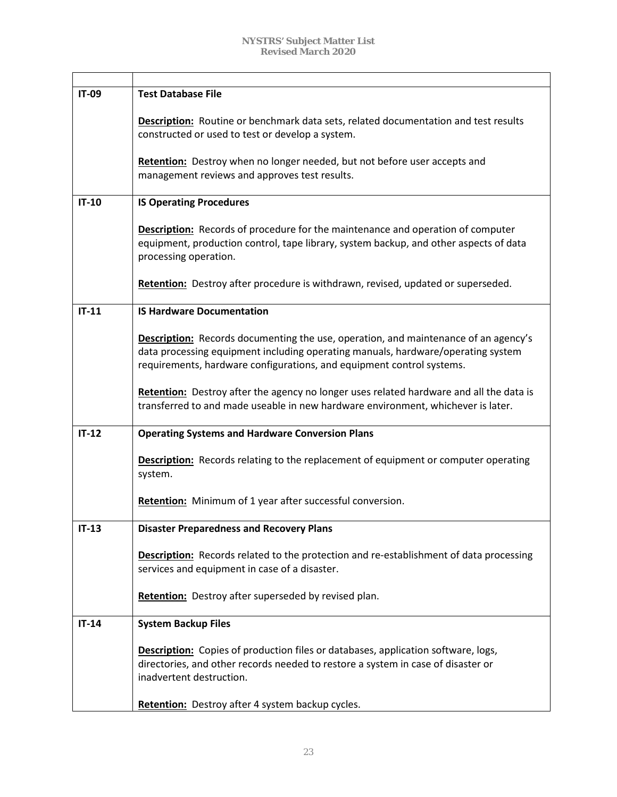| IT-09   | <b>Test Database File</b>                                                                                                                                                                                                                               |
|---------|---------------------------------------------------------------------------------------------------------------------------------------------------------------------------------------------------------------------------------------------------------|
|         | <b>Description:</b> Routine or benchmark data sets, related documentation and test results<br>constructed or used to test or develop a system.                                                                                                          |
|         | Retention: Destroy when no longer needed, but not before user accepts and<br>management reviews and approves test results.                                                                                                                              |
| $IT-10$ | <b>IS Operating Procedures</b>                                                                                                                                                                                                                          |
|         | <b>Description:</b> Records of procedure for the maintenance and operation of computer<br>equipment, production control, tape library, system backup, and other aspects of data<br>processing operation.                                                |
|         | Retention: Destroy after procedure is withdrawn, revised, updated or superseded.                                                                                                                                                                        |
| $IT-11$ | <b>IS Hardware Documentation</b>                                                                                                                                                                                                                        |
|         | <b>Description:</b> Records documenting the use, operation, and maintenance of an agency's<br>data processing equipment including operating manuals, hardware/operating system<br>requirements, hardware configurations, and equipment control systems. |
|         | Retention: Destroy after the agency no longer uses related hardware and all the data is<br>transferred to and made useable in new hardware environment, whichever is later.                                                                             |
| $IT-12$ | <b>Operating Systems and Hardware Conversion Plans</b>                                                                                                                                                                                                  |
|         | <b>Description:</b> Records relating to the replacement of equipment or computer operating<br>system.                                                                                                                                                   |
|         | Retention: Minimum of 1 year after successful conversion.                                                                                                                                                                                               |
| $IT-13$ | <b>Disaster Preparedness and Recovery Plans</b>                                                                                                                                                                                                         |
|         | <b>Description:</b> Records related to the protection and re-establishment of data processing<br>services and equipment in case of a disaster.                                                                                                          |
|         | Retention: Destroy after superseded by revised plan.                                                                                                                                                                                                    |
| $IT-14$ | <b>System Backup Files</b>                                                                                                                                                                                                                              |
|         | <b>Description:</b> Copies of production files or databases, application software, logs,<br>directories, and other records needed to restore a system in case of disaster or<br>inadvertent destruction.                                                |
|         | Retention: Destroy after 4 system backup cycles.                                                                                                                                                                                                        |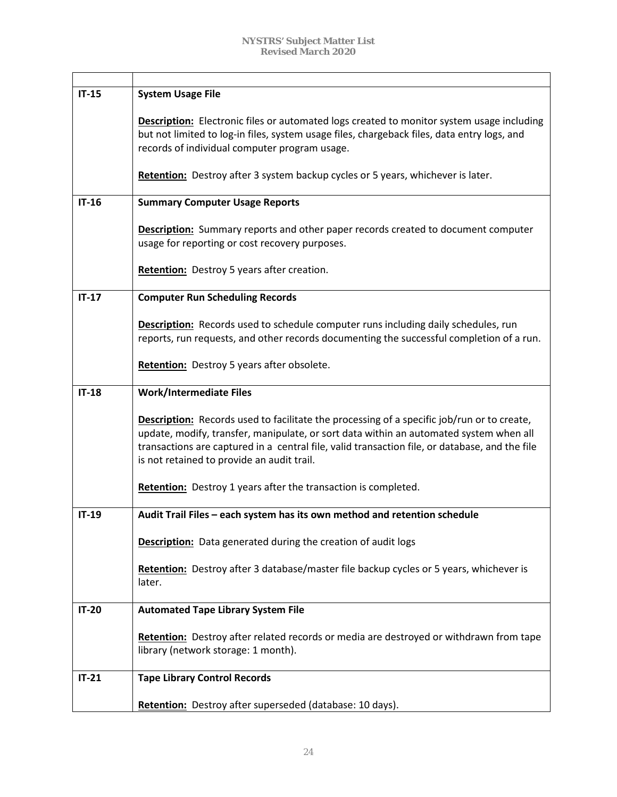| $IT-15$ | <b>System Usage File</b>                                                                                                                                                                                                                                                                                                                    |
|---------|---------------------------------------------------------------------------------------------------------------------------------------------------------------------------------------------------------------------------------------------------------------------------------------------------------------------------------------------|
|         | <b>Description:</b> Electronic files or automated logs created to monitor system usage including<br>but not limited to log-in files, system usage files, chargeback files, data entry logs, and<br>records of individual computer program usage.                                                                                            |
|         | Retention: Destroy after 3 system backup cycles or 5 years, whichever is later.                                                                                                                                                                                                                                                             |
| $IT-16$ | <b>Summary Computer Usage Reports</b>                                                                                                                                                                                                                                                                                                       |
|         | <b>Description:</b> Summary reports and other paper records created to document computer<br>usage for reporting or cost recovery purposes.                                                                                                                                                                                                  |
|         | <b>Retention:</b> Destroy 5 years after creation.                                                                                                                                                                                                                                                                                           |
| $IT-17$ | <b>Computer Run Scheduling Records</b>                                                                                                                                                                                                                                                                                                      |
|         | <b>Description:</b> Records used to schedule computer runs including daily schedules, run<br>reports, run requests, and other records documenting the successful completion of a run.                                                                                                                                                       |
|         | Retention: Destroy 5 years after obsolete.                                                                                                                                                                                                                                                                                                  |
| $IT-18$ | <b>Work/Intermediate Files</b>                                                                                                                                                                                                                                                                                                              |
|         | <b>Description:</b> Records used to facilitate the processing of a specific job/run or to create,<br>update, modify, transfer, manipulate, or sort data within an automated system when all<br>transactions are captured in a central file, valid transaction file, or database, and the file<br>is not retained to provide an audit trail. |
|         | Retention: Destroy 1 years after the transaction is completed.                                                                                                                                                                                                                                                                              |
| $IT-19$ | Audit Trail Files - each system has its own method and retention schedule                                                                                                                                                                                                                                                                   |
|         | <b>Description:</b> Data generated during the creation of audit logs                                                                                                                                                                                                                                                                        |
|         | Retention: Destroy after 3 database/master file backup cycles or 5 years, whichever is<br>later.                                                                                                                                                                                                                                            |
| $IT-20$ | <b>Automated Tape Library System File</b>                                                                                                                                                                                                                                                                                                   |
|         | Retention: Destroy after related records or media are destroyed or withdrawn from tape<br>library (network storage: 1 month).                                                                                                                                                                                                               |
| $IT-21$ | <b>Tape Library Control Records</b>                                                                                                                                                                                                                                                                                                         |
|         | Retention: Destroy after superseded (database: 10 days).                                                                                                                                                                                                                                                                                    |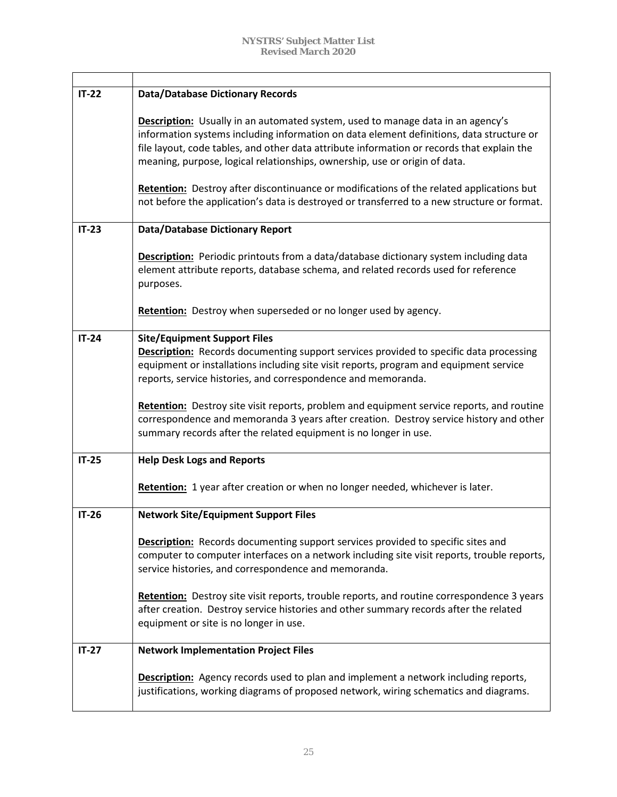| $IT-22$ | <b>Data/Database Dictionary Records</b>                                                                                                                                                                                                                                                                                                                                                                                                                                                                                                                   |
|---------|-----------------------------------------------------------------------------------------------------------------------------------------------------------------------------------------------------------------------------------------------------------------------------------------------------------------------------------------------------------------------------------------------------------------------------------------------------------------------------------------------------------------------------------------------------------|
|         | <b>Description:</b> Usually in an automated system, used to manage data in an agency's<br>information systems including information on data element definitions, data structure or<br>file layout, code tables, and other data attribute information or records that explain the<br>meaning, purpose, logical relationships, ownership, use or origin of data.<br>Retention: Destroy after discontinuance or modifications of the related applications but<br>not before the application's data is destroyed or transferred to a new structure or format. |
| $IT-23$ | <b>Data/Database Dictionary Report</b>                                                                                                                                                                                                                                                                                                                                                                                                                                                                                                                    |
|         | <b>Description:</b> Periodic printouts from a data/database dictionary system including data<br>element attribute reports, database schema, and related records used for reference<br>purposes.                                                                                                                                                                                                                                                                                                                                                           |
|         | Retention: Destroy when superseded or no longer used by agency.                                                                                                                                                                                                                                                                                                                                                                                                                                                                                           |
| $IT-24$ | <b>Site/Equipment Support Files</b><br><b>Description:</b> Records documenting support services provided to specific data processing<br>equipment or installations including site visit reports, program and equipment service<br>reports, service histories, and correspondence and memoranda.                                                                                                                                                                                                                                                           |
|         | Retention: Destroy site visit reports, problem and equipment service reports, and routine<br>correspondence and memoranda 3 years after creation. Destroy service history and other<br>summary records after the related equipment is no longer in use.                                                                                                                                                                                                                                                                                                   |
| $IT-25$ | <b>Help Desk Logs and Reports</b>                                                                                                                                                                                                                                                                                                                                                                                                                                                                                                                         |
|         | Retention: 1 year after creation or when no longer needed, whichever is later.                                                                                                                                                                                                                                                                                                                                                                                                                                                                            |
| $IT-26$ | <b>Network Site/Equipment Support Files</b>                                                                                                                                                                                                                                                                                                                                                                                                                                                                                                               |
|         | <b>Description:</b> Records documenting support services provided to specific sites and<br>computer to computer interfaces on a network including site visit reports, trouble reports,<br>service histories, and correspondence and memoranda.                                                                                                                                                                                                                                                                                                            |
|         | Retention: Destroy site visit reports, trouble reports, and routine correspondence 3 years<br>after creation. Destroy service histories and other summary records after the related<br>equipment or site is no longer in use.                                                                                                                                                                                                                                                                                                                             |
| $IT-27$ | <b>Network Implementation Project Files</b>                                                                                                                                                                                                                                                                                                                                                                                                                                                                                                               |
|         | <b>Description:</b> Agency records used to plan and implement a network including reports,<br>justifications, working diagrams of proposed network, wiring schematics and diagrams.                                                                                                                                                                                                                                                                                                                                                                       |